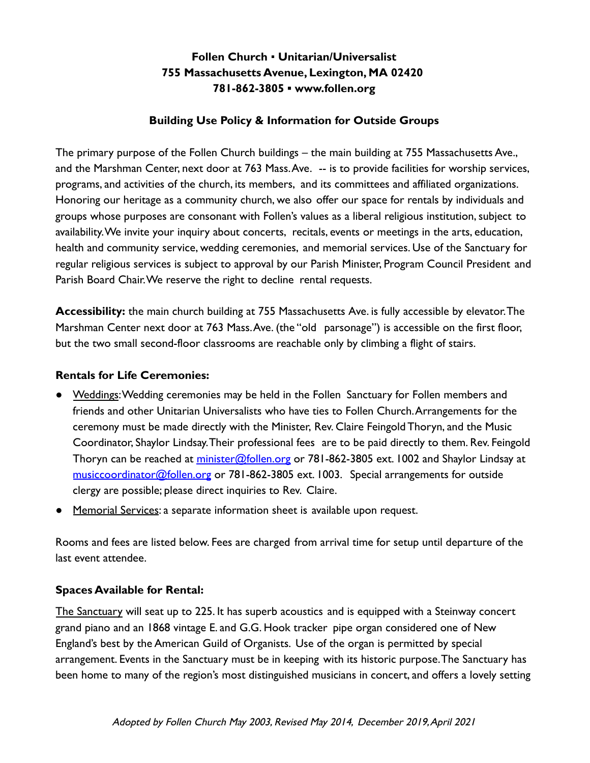### **Follen Church** ▪ **Unitarian/Universalist 755 Massachusetts Avenue, Lexington, MA 02420 781-862-3805 ▪ www.follen.org**

#### **Building Use Policy & Information for Outside Groups**

The primary purpose of the Follen Church buildings – the main building at 755 Massachusetts Ave., and the Marshman Center, next door at 763 Mass.Ave. -- is to provide facilities for worship services, programs, and activities of the church, its members, and its committees and affiliated organizations. Honoring our heritage as a community church, we also offer our space for rentals by individuals and groups whose purposes are consonant with Follen's values as a liberal religious institution, subject to availability.We invite your inquiry about concerts, recitals, events or meetings in the arts, education, health and community service, wedding ceremonies, and memorial services. Use of the Sanctuary for regular religious services is subject to approval by our Parish Minister, Program Council President and Parish Board Chair.We reserve the right to decline rental requests.

**Accessibility:** the main church building at 755 Massachusetts Ave. is fully accessible by elevator.The Marshman Center next door at 763 Mass.Ave. (the "old parsonage") is accessible on the first floor, but the two small second-floor classrooms are reachable only by climbing a flight of stairs.

#### **Rentals for Life Ceremonies:**

- Weddings: Wedding ceremonies may be held in the Follen Sanctuary for Follen members and friends and other Unitarian Universalists who have ties to Follen Church.Arrangements for the ceremony must be made directly with the Minister, Rev. Claire Feingold Thoryn, and the Music Coordinator, Shaylor Lindsay.Their professional fees are to be paid directly to them. Rev. Feingold Thoryn can be reached at minister@follen.org or 781-862-3805 ext. 1002 and Shaylor Lindsay at [musiccoordinator@follen.org](mailto:musiccoordinator@follen.org) or 781-862-3805 ext. 1003. Special arrangements for outside clergy are possible; please direct inquiries to Rev. Claire.
- Memorial Services: a separate information sheet is available upon request.

Rooms and fees are listed below. Fees are charged from arrival time for setup until departure of the last event attendee.

### **Spaces Available for Rental:**

The Sanctuary will seat up to 225. It has superb acoustics and is equipped with a Steinway concert grand piano and an 1868 vintage E. and G.G. Hook tracker pipe organ considered one of New England's best by the American Guild of Organists. Use of the organ is permitted by special arrangement. Events in the Sanctuary must be in keeping with its historic purpose.The Sanctuary has been home to many of the region's most distinguished musicians in concert, and offers a lovely setting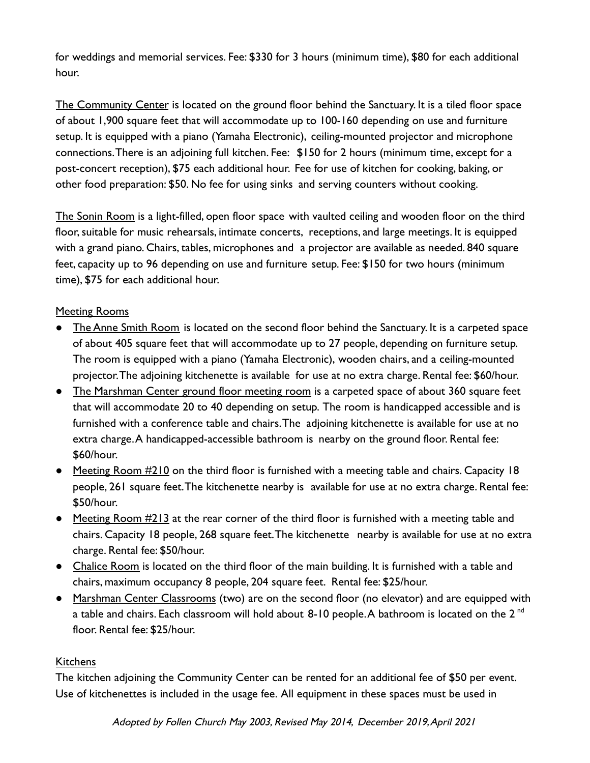for weddings and memorial services. Fee: \$330 for 3 hours (minimum time), \$80 for each additional hour.

The Community Center is located on the ground floor behind the Sanctuary. It is a tiled floor space of about 1,900 square feet that will accommodate up to 100-160 depending on use and furniture setup. It is equipped with a piano (Yamaha Electronic), ceiling-mounted projector and microphone connections.There is an adjoining full kitchen. Fee: \$150 for 2 hours (minimum time, except for a post-concert reception), \$75 each additional hour. Fee for use of kitchen for cooking, baking, or other food preparation: \$50. No fee for using sinks and serving counters without cooking.

The Sonin Room is a light-filled, open floor space with vaulted ceiling and wooden floor on the third floor, suitable for music rehearsals, intimate concerts, receptions, and large meetings. It is equipped with a grand piano. Chairs, tables, microphones and a projector are available as needed. 840 square feet, capacity up to 96 depending on use and furniture setup. Fee: \$150 for two hours (minimum time), \$75 for each additional hour.

### Meeting Rooms

- The Anne Smith Room is located on the second floor behind the Sanctuary. It is a carpeted space of about 405 square feet that will accommodate up to 27 people, depending on furniture setup. The room is equipped with a piano (Yamaha Electronic), wooden chairs, and a ceiling-mounted projector.The adjoining kitchenette is available for use at no extra charge. Rental fee: \$60/hour.
- The Marshman Center ground floor meeting room is a carpeted space of about 360 square feet that will accommodate 20 to 40 depending on setup. The room is handicapped accessible and is furnished with a conference table and chairs.The adjoining kitchenette is available for use at no extra charge.A handicapped-accessible bathroom is nearby on the ground floor. Rental fee: \$60/hour.
- Meeting Room #210 on the third floor is furnished with a meeting table and chairs. Capacity 18 people, 261 square feet.The kitchenette nearby is available for use at no extra charge. Rental fee: \$50/hour.
- Meeting Room #213 at the rear corner of the third floor is furnished with a meeting table and chairs. Capacity 18 people, 268 square feet.The kitchenette nearby is available for use at no extra charge. Rental fee: \$50/hour.
- Chalice Room is located on the third floor of the main building. It is furnished with a table and chairs, maximum occupancy 8 people, 204 square feet. Rental fee: \$25/hour.
- Marshman Center Classrooms (two) are on the second floor (no elevator) and are equipped with a table and chairs. Each classroom will hold about 8-10 people. A bathroom is located on the  $2<sup>nd</sup>$ floor. Rental fee: \$25/hour.

#### **Kitchens**

The kitchen adjoining the Community Center can be rented for an additional fee of \$50 per event. Use of kitchenettes is included in the usage fee. All equipment in these spaces must be used in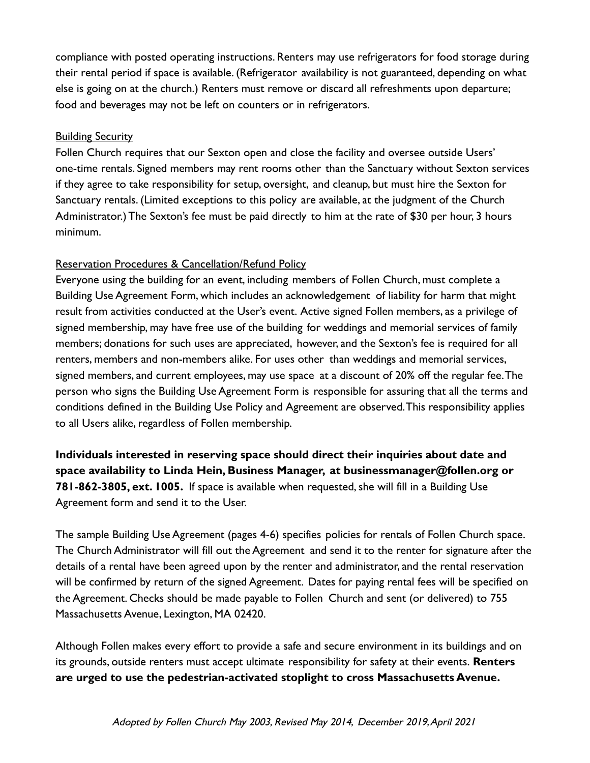compliance with posted operating instructions. Renters may use refrigerators for food storage during their rental period if space is available. (Refrigerator availability is not guaranteed, depending on what else is going on at the church.) Renters must remove or discard all refreshments upon departure; food and beverages may not be left on counters or in refrigerators.

#### Building Security

Follen Church requires that our Sexton open and close the facility and oversee outside Users' one-time rentals. Signed members may rent rooms other than the Sanctuary without Sexton services if they agree to take responsibility for setup, oversight, and cleanup, but must hire the Sexton for Sanctuary rentals. (Limited exceptions to this policy are available, at the judgment of the Church Administrator.) The Sexton's fee must be paid directly to him at the rate of \$30 per hour, 3 hours minimum.

#### Reservation Procedures & Cancellation/Refund Policy

Everyone using the building for an event, including members of Follen Church, must complete a Building Use Agreement Form, which includes an acknowledgement of liability for harm that might result from activities conducted at the User's event. Active signed Follen members, as a privilege of signed membership, may have free use of the building for weddings and memorial services of family members; donations for such uses are appreciated, however, and the Sexton's fee is required for all renters, members and non-members alike. For uses other than weddings and memorial services, signed members, and current employees, may use space at a discount of 20% off the regular fee.The person who signs the Building Use Agreement Form is responsible for assuring that all the terms and conditions defined in the Building Use Policy and Agreement are observed.This responsibility applies to all Users alike, regardless of Follen membership.

**Individuals interested in reserving space should direct their inquiries about date and space availability to Linda Hein, Business Manager, at businessmanager@follen.org or 781-862-3805, ext. 1005.** If space is available when requested, she will fill in a Building Use Agreement form and send it to the User.

The sample Building Use Agreement (pages 4-6) specifies policies for rentals of Follen Church space. The Church Administrator will fill out the Agreement and send it to the renter for signature after the details of a rental have been agreed upon by the renter and administrator, and the rental reservation will be confirmed by return of the signed Agreement. Dates for paying rental fees will be specified on the Agreement. Checks should be made payable to Follen Church and sent (or delivered) to 755 Massachusetts Avenue, Lexington, MA 02420.

Although Follen makes every effort to provide a safe and secure environment in its buildings and on its grounds, outside renters must accept ultimate responsibility for safety at their events. **Renters are urged to use the pedestrian-activated stoplight to cross Massachusetts Avenue.**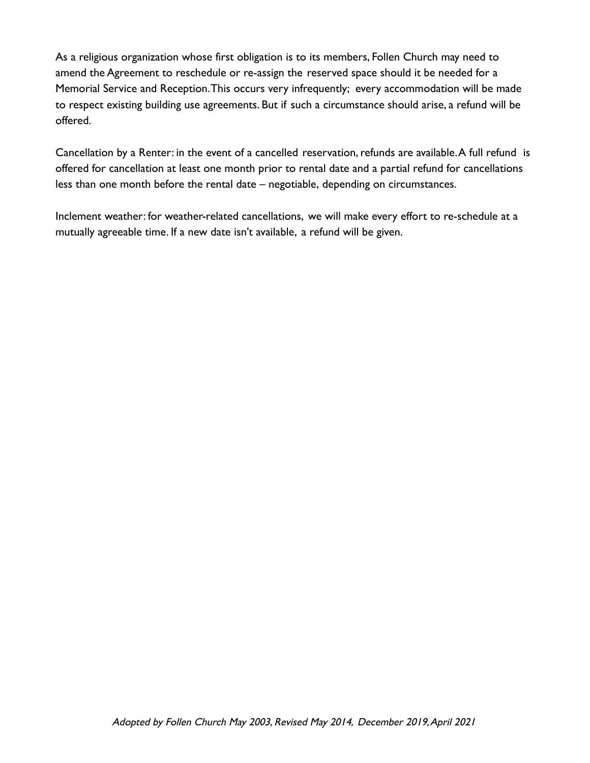As a religious organization whose first obligation is to its members, Follen Church may need to amend the Agreement to reschedule or re-assign the reserved space should it be needed for a Memorial Service and Reception.This occurs very infrequently; every accommodation will be made to respect existing building use agreements. But if such a circumstance should arise, a refund will be offered.

Cancellation by a Renter: in the event of a cancelled reservation, refunds are available.A full refund is offered for cancellation at least one month prior to rental date and a partial refund for cancellations less than one month before the rental date – negotiable, depending on circumstances.

Inclement weather: for weather-related cancellations, we will make every effort to re-schedule at a mutually agreeable time. If a new date isn't available, a refund will be given.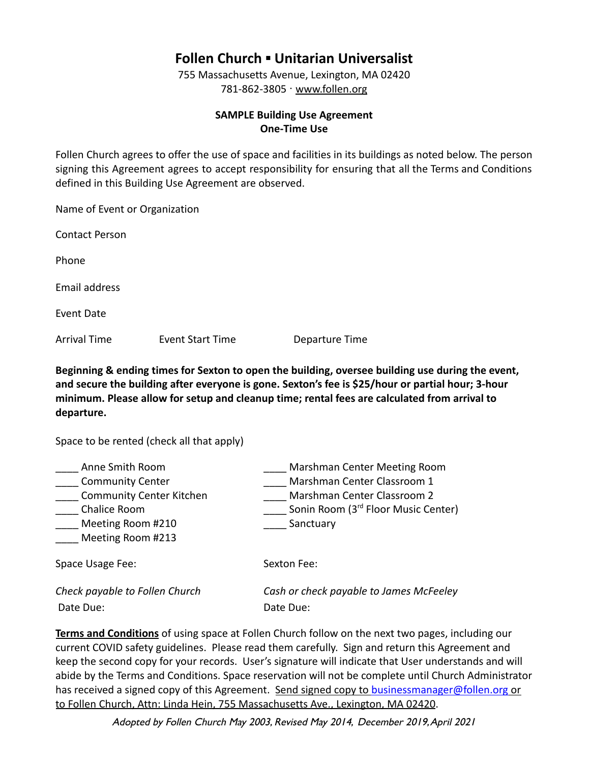# **Follen Church ▪ Unitarian Universalist**

755 Massachusetts Avenue, Lexington, MA 02420 781-862-3805 · [www.follen.org](http://www.follen.org)

#### **SAMPLE Building Use Agreement One-Time Use**

Follen Church agrees to offer the use of space and facilities in its buildings as noted below. The person signing this Agreement agrees to accept responsibility for ensuring that all the Terms and Conditions defined in this Building Use Agreement are observed.

Name of Event or Organization Contact Person Phone Email address Event Date Arrival Time Event Start Time Departure Time

**Beginning & ending times for Sexton to open the building, oversee building use during the event, and secure the building after everyone is gone. Sexton's fee is \$25/hour or partial hour; 3-hour minimum. Please allow for setup and cleanup time; rental fees are calculated from arrival to departure.**

Space to be rented (check all that apply)

| Anne Smith Room                 | Marshman Center Meeting Room            |
|---------------------------------|-----------------------------------------|
| <b>Community Center</b>         | Marshman Center Classroom 1             |
| <b>Community Center Kitchen</b> | Marshman Center Classroom 2             |
| Chalice Room                    | Sonin Room (3rd Floor Music Center)     |
| Meeting Room #210               | Sanctuary                               |
| Meeting Room #213               |                                         |
| Space Usage Fee:                | Sexton Fee:                             |
| Check payable to Follen Church  | Cash or check payable to James McFeeley |
| Date Due:                       | Date Due:                               |

**Terms and Conditions** of using space at Follen Church follow on the next two pages, including our current COVID safety guidelines. Please read them carefully. Sign and return this Agreement and keep the second copy for your records. User's signature will indicate that User understands and will abide by the Terms and Conditions. Space reservation will not be complete until Church Administrator has received a signed copy of this Agreement. Send signed copy to [businessmanager@follen.org](mailto:businessmanager@follen.org) or to Follen Church, Attn: Linda Hein, 755 Massachusetts Ave., Lexington, MA 02420.

Adopted by Follen Church May 2003, Revised May 2014, December 2019,April 2021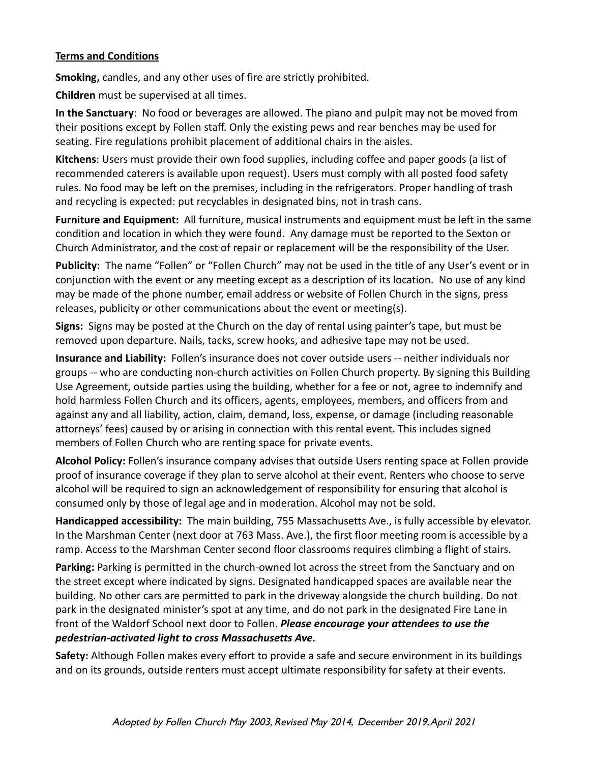#### **Terms and Conditions**

**Smoking,** candles, and any other uses of fire are strictly prohibited.

**Children** must be supervised at all times.

**In the Sanctuary**: No food or beverages are allowed. The piano and pulpit may not be moved from their positions except by Follen staff. Only the existing pews and rear benches may be used for seating. Fire regulations prohibit placement of additional chairs in the aisles.

**Kitchens**: Users must provide their own food supplies, including coffee and paper goods (a list of recommended caterers is available upon request). Users must comply with all posted food safety rules. No food may be left on the premises, including in the refrigerators. Proper handling of trash and recycling is expected: put recyclables in designated bins, not in trash cans.

**Furniture and Equipment:** All furniture, musical instruments and equipment must be left in the same condition and location in which they were found. Any damage must be reported to the Sexton or Church Administrator, and the cost of repair or replacement will be the responsibility of the User.

**Publicity:** The name "Follen" or "Follen Church" may not be used in the title of any User's event or in conjunction with the event or any meeting except as a description of its location. No use of any kind may be made of the phone number, email address or website of Follen Church in the signs, press releases, publicity or other communications about the event or meeting(s).

**Signs:** Signs may be posted at the Church on the day of rental using painter's tape, but must be removed upon departure. Nails, tacks, screw hooks, and adhesive tape may not be used.

**Insurance and Liability:** Follen's insurance does not cover outside users -- neither individuals nor groups -- who are conducting non-church activities on Follen Church property. By signing this Building Use Agreement, outside parties using the building, whether for a fee or not, agree to indemnify and hold harmless Follen Church and its officers, agents, employees, members, and officers from and against any and all liability, action, claim, demand, loss, expense, or damage (including reasonable attorneys' fees) caused by or arising in connection with this rental event. This includes signed members of Follen Church who are renting space for private events.

**Alcohol Policy:** Follen's insurance company advises that outside Users renting space at Follen provide proof of insurance coverage if they plan to serve alcohol at their event. Renters who choose to serve alcohol will be required to sign an acknowledgement of responsibility for ensuring that alcohol is consumed only by those of legal age and in moderation. Alcohol may not be sold.

**Handicapped accessibility:** The main building, 755 Massachusetts Ave., is fully accessible by elevator. In the Marshman Center (next door at 763 Mass. Ave.), the first floor meeting room is accessible by a ramp. Access to the Marshman Center second floor classrooms requires climbing a flight of stairs.

**Parking:** Parking is permitted in the church-owned lot across the street from the Sanctuary and on the street except where indicated by signs. Designated handicapped spaces are available near the building. No other cars are permitted to park in the driveway alongside the church building. Do not park in the designated minister's spot at any time, and do not park in the designated Fire Lane in front of the Waldorf School next door to Follen. *Please encourage your attendees to use the pedestrian-activated light to cross Massachusetts Ave.*

**Safety:** Although Follen makes every effort to provide a safe and secure environment in its buildings and on its grounds, outside renters must accept ultimate responsibility for safety at their events.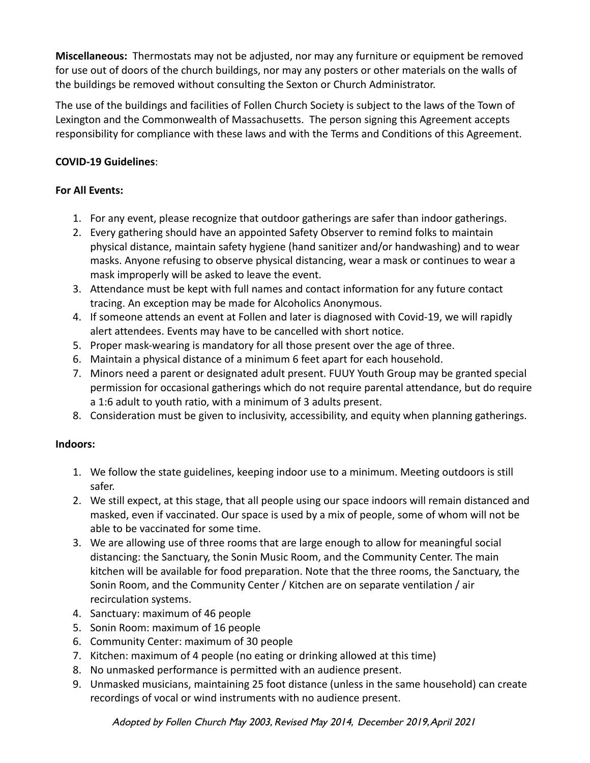**Miscellaneous:** Thermostats may not be adjusted, nor may any furniture or equipment be removed for use out of doors of the church buildings, nor may any posters or other materials on the walls of the buildings be removed without consulting the Sexton or Church Administrator.

The use of the buildings and facilities of Follen Church Society is subject to the laws of the Town of Lexington and the Commonwealth of Massachusetts. The person signing this Agreement accepts responsibility for compliance with these laws and with the Terms and Conditions of this Agreement.

#### **COVID-19 Guidelines**:

#### **For All Events:**

- 1. For any event, please recognize that outdoor gatherings are safer than indoor gatherings.
- 2. Every gathering should have an appointed Safety Observer to remind folks to maintain physical distance, maintain safety hygiene (hand sanitizer and/or handwashing) and to wear masks. Anyone refusing to observe physical distancing, wear a mask or continues to wear a mask improperly will be asked to leave the event.
- 3. Attendance must be kept with full names and contact information for any future contact tracing. An exception may be made for Alcoholics Anonymous.
- 4. If someone attends an event at Follen and later is diagnosed with Covid-19, we will rapidly alert attendees. Events may have to be cancelled with short notice.
- 5. Proper mask-wearing is mandatory for all those present over the age of three.
- 6. Maintain a physical distance of a minimum 6 feet apart for each household.
- 7. Minors need a parent or designated adult present. FUUY Youth Group may be granted special permission for occasional gatherings which do not require parental attendance, but do require a 1:6 adult to youth ratio, with a minimum of 3 adults present.
- 8. Consideration must be given to inclusivity, accessibility, and equity when planning gatherings.

### **Indoors:**

- 1. We follow the state guidelines, keeping indoor use to a minimum. Meeting outdoors is still safer.
- 2. We still expect, at this stage, that all people using our space indoors will remain distanced and masked, even if vaccinated. Our space is used by a mix of people, some of whom will not be able to be vaccinated for some time.
- 3. We are allowing use of three rooms that are large enough to allow for meaningful social distancing: the Sanctuary, the Sonin Music Room, and the Community Center. The main kitchen will be available for food preparation. Note that the three rooms, the Sanctuary, the Sonin Room, and the Community Center / Kitchen are on separate ventilation / air recirculation systems.
- 4. Sanctuary: maximum of 46 people
- 5. Sonin Room: maximum of 16 people
- 6. Community Center: maximum of 30 people
- 7. Kitchen: maximum of 4 people (no eating or drinking allowed at this time)
- 8. No unmasked performance is permitted with an audience present.
- 9. Unmasked musicians, maintaining 25 foot distance (unless in the same household) can create recordings of vocal or wind instruments with no audience present.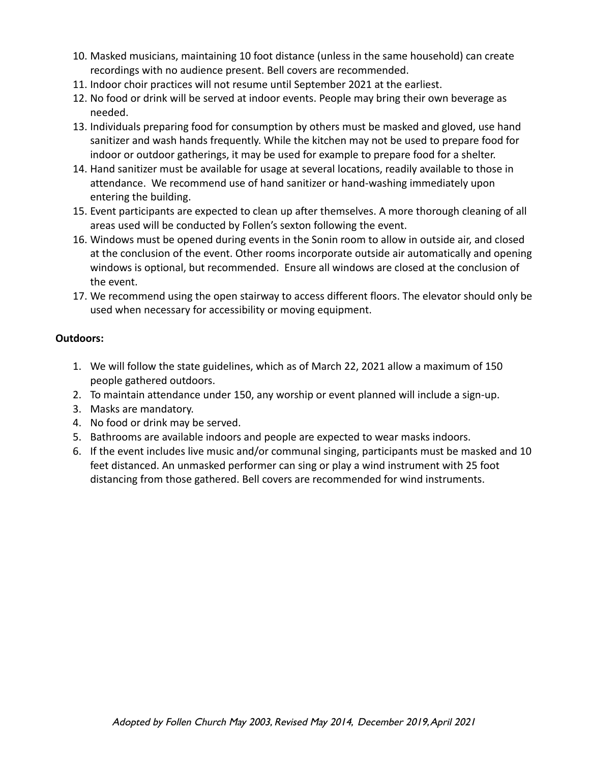- 10. Masked musicians, maintaining 10 foot distance (unless in the same household) can create recordings with no audience present. Bell covers are recommended.
- 11. Indoor choir practices will not resume until September 2021 at the earliest.
- 12. No food or drink will be served at indoor events. People may bring their own beverage as needed.
- 13. Individuals preparing food for consumption by others must be masked and gloved, use hand sanitizer and wash hands frequently. While the kitchen may not be used to prepare food for indoor or outdoor gatherings, it may be used for example to prepare food for a shelter.
- 14. Hand sanitizer must be available for usage at several locations, readily available to those in attendance. We recommend use of hand sanitizer or hand-washing immediately upon entering the building.
- 15. Event participants are expected to clean up after themselves. A more thorough cleaning of all areas used will be conducted by Follen's sexton following the event.
- 16. Windows must be opened during events in the Sonin room to allow in outside air, and closed at the conclusion of the event. Other rooms incorporate outside air automatically and opening windows is optional, but recommended. Ensure all windows are closed at the conclusion of the event.
- 17. We recommend using the open stairway to access different floors. The elevator should only be used when necessary for accessibility or moving equipment.

#### **Outdoors:**

- 1. We will follow the state guidelines, which as of March 22, 2021 allow a maximum of 150 people gathered outdoors.
- 2. To maintain attendance under 150, any worship or event planned will include a sign-up.
- 3. Masks are mandatory.
- 4. No food or drink may be served.
- 5. Bathrooms are available indoors and people are expected to wear masks indoors.
- 6. If the event includes live music and/or communal singing, participants must be masked and 10 feet distanced. An unmasked performer can sing or play a wind instrument with 25 foot distancing from those gathered. Bell covers are recommended for wind instruments.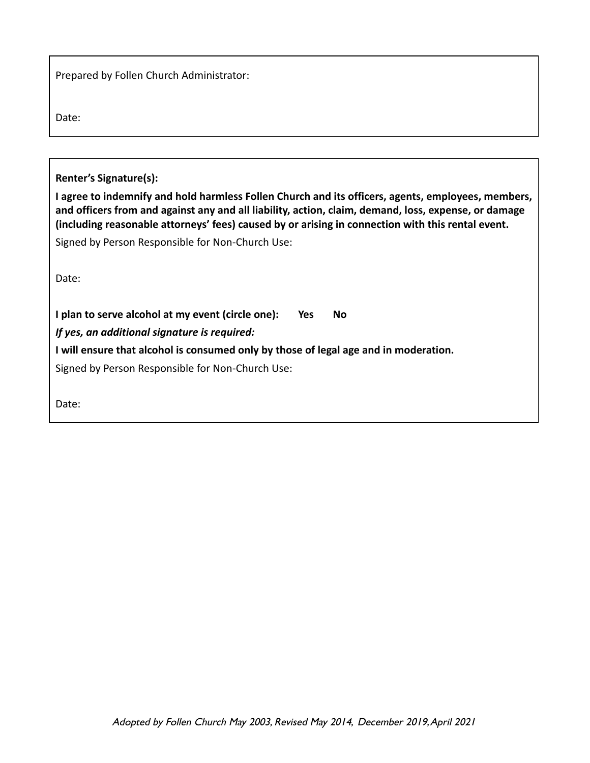Prepared by Follen Church Administrator:

Date:

**Renter's Signature(s):**

**I agree to indemnify and hold harmless Follen Church and its officers, agents, employees, members, and officers from and against any and all liability, action, claim, demand, loss, expense, or damage (including reasonable attorneys' fees) caused by or arising in connection with this rental event.**

Signed by Person Responsible for Non-Church Use:

Date:

**I plan to serve alcohol at my event (circle one): Yes No** *If yes, an additional signature is required:* **I will ensure that alcohol is consumed only by those of legal age and in moderation.** Signed by Person Responsible for Non-Church Use:

Date: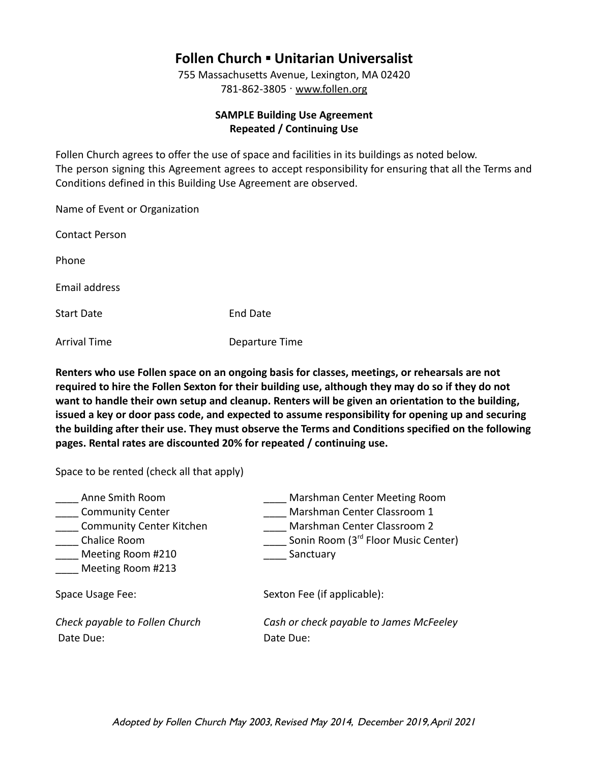## **Follen Church ▪ Unitarian Universalist**

755 Massachusetts Avenue, Lexington, MA 02420 781-862-3805 · [www.follen.org](http://www.follen.org)

#### **SAMPLE Building Use Agreement Repeated / Continuing Use**

Follen Church agrees to offer the use of space and facilities in its buildings as noted below. The person signing this Agreement agrees to accept responsibility for ensuring that all the Terms and Conditions defined in this Building Use Agreement are observed.

| Name of Event or Organization |                 |
|-------------------------------|-----------------|
| Contact Person                |                 |
| Phone                         |                 |
| Email address                 |                 |
| Start Date                    | <b>End Date</b> |
| Arrival Time                  | Departure Time  |

**Renters who use Follen space on an ongoing basis for classes, meetings, or rehearsals are not required to hire the Follen Sexton for their building use, although they may do so if they do not want to handle their own setup and cleanup. Renters will be given an orientation to the building, issued a key or door pass code, and expected to assume responsibility for opening up and securing the building after their use. They must observe the Terms and Conditions specified on the following pages. Rental rates are discounted 20% for repeated / continuing use.**

Space to be rented (check all that apply)

| Anne Smith Room<br><b>Community Center</b><br><b>Community Center Kitchen</b><br>Chalice Room<br>Meeting Room #210<br>Meeting Room #213 | Marshman Center Meeting Room<br>Marshman Center Classroom 1<br>Marshman Center Classroom 2<br>Sonin Room (3rd Floor Music Center)<br>Sanctuary |
|-----------------------------------------------------------------------------------------------------------------------------------------|------------------------------------------------------------------------------------------------------------------------------------------------|
| Space Usage Fee:                                                                                                                        | Sexton Fee (if applicable):                                                                                                                    |
| Check payable to Follen Church<br>Date Due:                                                                                             | Cash or check payable to James McFeeley<br>Date Due:                                                                                           |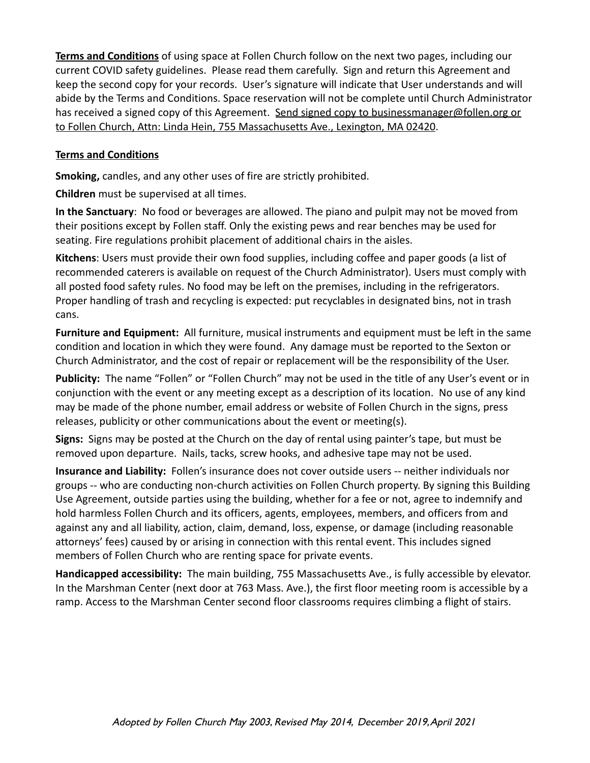**Terms and Conditions** of using space at Follen Church follow on the next two pages, including our current COVID safety guidelines. Please read them carefully. Sign and return this Agreement and keep the second copy for your records. User's signature will indicate that User understands and will abide by the Terms and Conditions. Space reservation will not be complete until Church Administrator has received a signed copy of this Agreement. Send signed copy to businessmanager@follen.org or to Follen Church, Attn: Linda Hein, 755 Massachusetts Ave., Lexington, MA 02420.

#### **Terms and Conditions**

**Smoking,** candles, and any other uses of fire are strictly prohibited.

**Children** must be supervised at all times.

**In the Sanctuary**: No food or beverages are allowed. The piano and pulpit may not be moved from their positions except by Follen staff. Only the existing pews and rear benches may be used for seating. Fire regulations prohibit placement of additional chairs in the aisles.

**Kitchens**: Users must provide their own food supplies, including coffee and paper goods (a list of recommended caterers is available on request of the Church Administrator). Users must comply with all posted food safety rules. No food may be left on the premises, including in the refrigerators. Proper handling of trash and recycling is expected: put recyclables in designated bins, not in trash cans.

**Furniture and Equipment:** All furniture, musical instruments and equipment must be left in the same condition and location in which they were found. Any damage must be reported to the Sexton or Church Administrator, and the cost of repair or replacement will be the responsibility of the User.

**Publicity:** The name "Follen" or "Follen Church" may not be used in the title of any User's event or in conjunction with the event or any meeting except as a description of its location. No use of any kind may be made of the phone number, email address or website of Follen Church in the signs, press releases, publicity or other communications about the event or meeting(s).

**Signs:** Signs may be posted at the Church on the day of rental using painter's tape, but must be removed upon departure. Nails, tacks, screw hooks, and adhesive tape may not be used.

**Insurance and Liability:** Follen's insurance does not cover outside users -- neither individuals nor groups -- who are conducting non-church activities on Follen Church property. By signing this Building Use Agreement, outside parties using the building, whether for a fee or not, agree to indemnify and hold harmless Follen Church and its officers, agents, employees, members, and officers from and against any and all liability, action, claim, demand, loss, expense, or damage (including reasonable attorneys' fees) caused by or arising in connection with this rental event. This includes signed members of Follen Church who are renting space for private events.

**Handicapped accessibility:** The main building, 755 Massachusetts Ave., is fully accessible by elevator. In the Marshman Center (next door at 763 Mass. Ave.), the first floor meeting room is accessible by a ramp. Access to the Marshman Center second floor classrooms requires climbing a flight of stairs.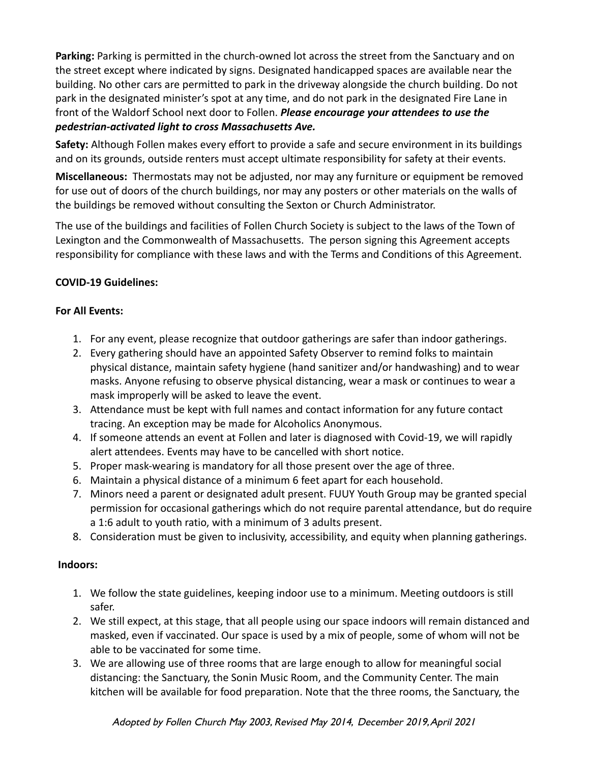**Parking:** Parking is permitted in the church-owned lot across the street from the Sanctuary and on the street except where indicated by signs. Designated handicapped spaces are available near the building. No other cars are permitted to park in the driveway alongside the church building. Do not park in the designated minister's spot at any time, and do not park in the designated Fire Lane in front of the Waldorf School next door to Follen. *Please encourage your attendees to use the pedestrian-activated light to cross Massachusetts Ave.*

**Safety:** Although Follen makes every effort to provide a safe and secure environment in its buildings and on its grounds, outside renters must accept ultimate responsibility for safety at their events.

**Miscellaneous:** Thermostats may not be adjusted, nor may any furniture or equipment be removed for use out of doors of the church buildings, nor may any posters or other materials on the walls of the buildings be removed without consulting the Sexton or Church Administrator.

The use of the buildings and facilities of Follen Church Society is subject to the laws of the Town of Lexington and the Commonwealth of Massachusetts. The person signing this Agreement accepts responsibility for compliance with these laws and with the Terms and Conditions of this Agreement.

#### **COVID-19 Guidelines:**

#### **For All Events:**

- 1. For any event, please recognize that outdoor gatherings are safer than indoor gatherings.
- 2. Every gathering should have an appointed Safety Observer to remind folks to maintain physical distance, maintain safety hygiene (hand sanitizer and/or handwashing) and to wear masks. Anyone refusing to observe physical distancing, wear a mask or continues to wear a mask improperly will be asked to leave the event.
- 3. Attendance must be kept with full names and contact information for any future contact tracing. An exception may be made for Alcoholics Anonymous.
- 4. If someone attends an event at Follen and later is diagnosed with Covid-19, we will rapidly alert attendees. Events may have to be cancelled with short notice.
- 5. Proper mask-wearing is mandatory for all those present over the age of three.
- 6. Maintain a physical distance of a minimum 6 feet apart for each household.
- 7. Minors need a parent or designated adult present. FUUY Youth Group may be granted special permission for occasional gatherings which do not require parental attendance, but do require a 1:6 adult to youth ratio, with a minimum of 3 adults present.
- 8. Consideration must be given to inclusivity, accessibility, and equity when planning gatherings.

#### **Indoors:**

- 1. We follow the state guidelines, keeping indoor use to a minimum. Meeting outdoors is still safer.
- 2. We still expect, at this stage, that all people using our space indoors will remain distanced and masked, even if vaccinated. Our space is used by a mix of people, some of whom will not be able to be vaccinated for some time.
- 3. We are allowing use of three rooms that are large enough to allow for meaningful social distancing: the Sanctuary, the Sonin Music Room, and the Community Center. The main kitchen will be available for food preparation. Note that the three rooms, the Sanctuary, the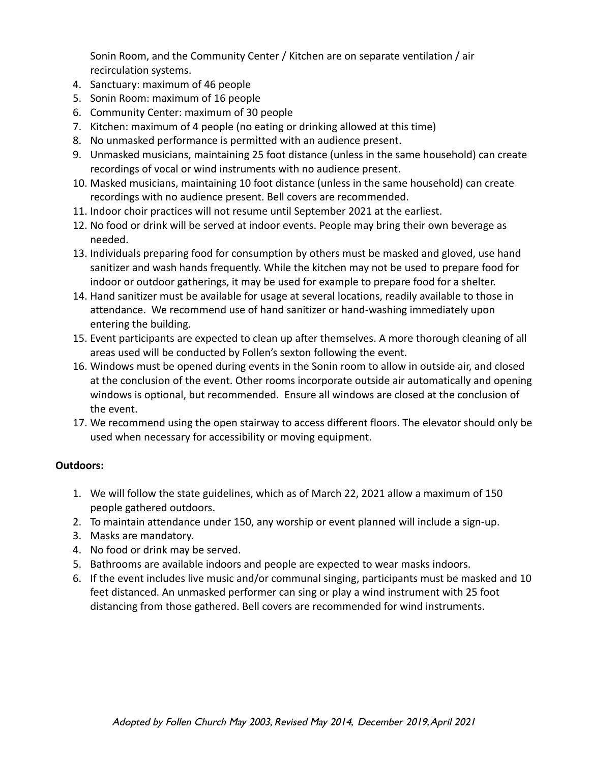Sonin Room, and the Community Center / Kitchen are on separate ventilation / air recirculation systems.

- 4. Sanctuary: maximum of 46 people
- 5. Sonin Room: maximum of 16 people
- 6. Community Center: maximum of 30 people
- 7. Kitchen: maximum of 4 people (no eating or drinking allowed at this time)
- 8. No unmasked performance is permitted with an audience present.
- 9. Unmasked musicians, maintaining 25 foot distance (unless in the same household) can create recordings of vocal or wind instruments with no audience present.
- 10. Masked musicians, maintaining 10 foot distance (unless in the same household) can create recordings with no audience present. Bell covers are recommended.
- 11. Indoor choir practices will not resume until September 2021 at the earliest.
- 12. No food or drink will be served at indoor events. People may bring their own beverage as needed.
- 13. Individuals preparing food for consumption by others must be masked and gloved, use hand sanitizer and wash hands frequently. While the kitchen may not be used to prepare food for indoor or outdoor gatherings, it may be used for example to prepare food for a shelter.
- 14. Hand sanitizer must be available for usage at several locations, readily available to those in attendance. We recommend use of hand sanitizer or hand-washing immediately upon entering the building.
- 15. Event participants are expected to clean up after themselves. A more thorough cleaning of all areas used will be conducted by Follen's sexton following the event.
- 16. Windows must be opened during events in the Sonin room to allow in outside air, and closed at the conclusion of the event. Other rooms incorporate outside air automatically and opening windows is optional, but recommended. Ensure all windows are closed at the conclusion of the event.
- 17. We recommend using the open stairway to access different floors. The elevator should only be used when necessary for accessibility or moving equipment.

#### **Outdoors:**

- 1. We will follow the state guidelines, which as of March 22, 2021 allow a maximum of 150 people gathered outdoors.
- 2. To maintain attendance under 150, any worship or event planned will include a sign-up.
- 3. Masks are mandatory.
- 4. No food or drink may be served.
- 5. Bathrooms are available indoors and people are expected to wear masks indoors.
- 6. If the event includes live music and/or communal singing, participants must be masked and 10 feet distanced. An unmasked performer can sing or play a wind instrument with 25 foot distancing from those gathered. Bell covers are recommended for wind instruments.